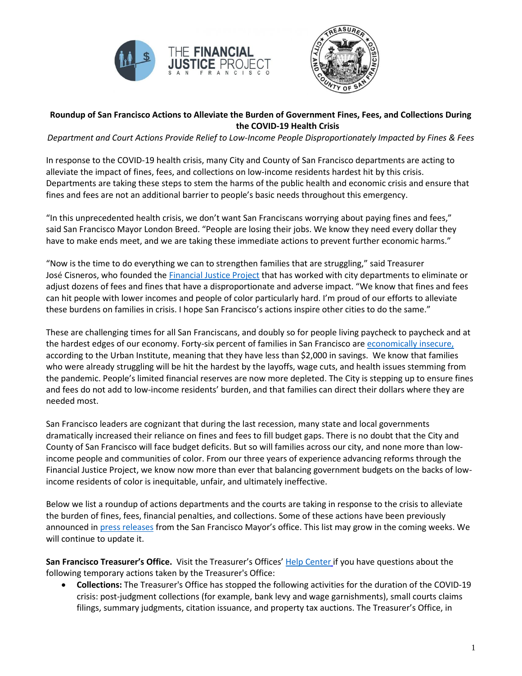



## **Roundup of San Francisco Actions to Alleviate the Burden of Government Fines, Fees, and Collections During the COVID-19 Health Crisis**

*Department and Court Actions Provide Relief to Low-Income People Disproportionately Impacted by Fines & Fees*

In response to the COVID-19 health crisis, many City and County of San Francisco departments are acting to alleviate the impact of fines, fees, and collections on low-income residents hardest hit by this crisis. Departments are taking these steps to stem the harms of the public health and economic crisis and ensure that fines and fees are not an additional barrier to people's basic needs throughout this emergency.

"In this unprecedented health crisis, we don't want San Franciscans worrying about paying fines and fees," said San Francisco Mayor London Breed. "People are losing their jobs. We know they need every dollar they have to make ends meet, and we are taking these immediate actions to prevent further economic harms."

"Now is the time to do everything we can to strengthen families that are struggling," said Treasurer José Cisneros, who founded the [Financial Justice Project](https://sftreasurer.org/financial-justice-project) that has worked with city departments to eliminate or adjust dozens of fees and fines that have a disproportionate and adverse impact. "We know that fines and fees can hit people with lower incomes and people of color particularly hard. I'm proud of our efforts to alleviate these burdens on families in crisis. I hope San Francisco's actions inspire other cities to do the same."

These are challenging times for all San Franciscans, and doubly so for people living paycheck to paycheck and at the hardest edges of our economy. Forty-six percent of families in San Francisco ar[e economically insecure,](https://www.urban.org/sites/default/files/publication/101309/cost-eviction-san-francisco.pdf) according to the Urban Institute, meaning that they have less than \$2,000 in savings. We know that families who were already struggling will be hit the hardest by the layoffs, wage cuts, and health issues stemming from the pandemic. People's limited financial reserves are now more depleted. The City is stepping up to ensure fines and fees do not add to low-income residents' burden, and that families can direct their dollars where they are needed most.

San Francisco leaders are cognizant that during the last recession, many state and local governments dramatically increased their reliance on fines and fees to fill budget gaps. There is no doubt that the City and County of San Francisco will face budget deficits. But so will families across our city, and none more than lowincome people and communities of color. From our three years of experience advancing reforms through the Financial Justice Project, we know now more than ever that balancing government budgets on the backs of lowincome residents of color is inequitable, unfair, and ultimately ineffective.

Below we list a roundup of actions departments and the courts are taking in response to the crisis to alleviate the burden of fines, fees, financial penalties, and collections. Some of these actions have been previously announced in [press releases](https://sfmayor.org/article/san-francisco-suspend-power-and-water-shutoffs-waive-penalties-and-interest-delinquent) from the San Francisco Mayor's office. This list may grow in the coming weeks. We will continue to update it.

**San Francisco Treasurer's Office.** Visit the Treasurer's Offices' Help [Center](https://sftreasurer.org/help-center) if you have questions about the following temporary actions taken by the Treasurer's Office:

• **Collections:** The Treasurer's Office has stopped the following activities for the duration of the COVID-19 crisis: post-judgment collections (for example, bank levy and wage garnishments), small courts claims filings, summary judgments, citation issuance, and property tax auctions. The Treasurer's Office, in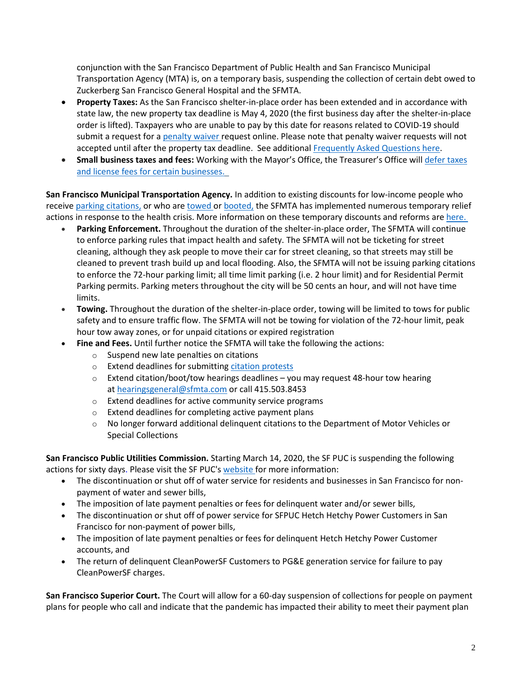conjunction with the San Francisco Department of Public Health and San Francisco Municipal Transportation Agency (MTA) is, on a temporary basis, suspending the collection of certain debt owed to Zuckerberg San Francisco General Hospital and the SFMTA.

- **Property Taxes:** As the San Francisco shelter-in-place order has been extended and in accordance with state law, the new property tax deadline is May 4, 2020 (the first business day after the shelter-in-place order is lifted). Taxpayers who are unable to pay by this date for reasons related to COVID-19 should submit a request for a [penalty waiver](https://sftreasurer.org/business/manage-your-business/penalty-waiver-refund-request) request online. Please note that penalty waiver requests will not accepted until after the property tax deadline. See additiona[l Frequently Asked Questions here.](http://sftreasurer.org/property-tax-deadline-frequently-asked-questions)
- **Small business taxes and fees:** Working with the Mayor's Office, the Treasurer's Office will [defer](https://sftreasurer.org/covid19) taxes and license fees for certain [businesses.](https://sftreasurer.org/covid19)

**San Francisco Municipal Transportation Agency.** In addition to existing discounts for low-income people who receive [parking citations,](https://sftreasurer.org/cant-afford-pay-your-parking-ticket) or who are [towed](https://sftreasurer.org/did-your-car-get-towed-and-you-cant-afford-tow-fee) or [booted,](https://sftreasurer.org/was-your-car-booted-and-you-cant-afford-boot-removal-fee) the SFMTA has implemented numerous temporary relief actions in response to the health crisis. More information on these temporary discounts and reforms are [here.](https://www.sfmta.com/projects/covid-19-developments-response)

- **Parking Enforcement.** Throughout the duration of the shelter-in-place order, The SFMTA will continue to enforce parking rules that impact health and safety. The SFMTA will not be ticketing for street cleaning, although they ask people to move their car for street cleaning, so that streets may still be cleaned to prevent trash build up and local flooding. Also, the SFMTA will not be issuing parking citations to enforce the 72-hour parking limit; all time limit parking (i.e. 2 hour limit) and for Residential Permit Parking permits. Parking meters throughout the city will be 50 cents an hour, and will not have time limits.
- **Towing.** Throughout the duration of the shelter-in-place order, towing will be limited to tows for public safety and to ensure traffic flow. The SFMTA will not be towing for violation of the 72-hour limit, peak hour tow away zones, or for unpaid citations or expired registration
- **Fine and Fees.** Until further notice the SFMTA will take the following the actions:
	- o Suspend new late penalties on citations
	- o Extend deadlines for submitting citation [protests](https://www.sfmta.com/getting-around/drive-park/citations/contest-citation)
	- $\circ$  Extend citation/boot/tow hearings deadlines you may request 48-hour tow hearing at [hearingsgeneral@sfmta.com](mailto:hearingsgeneral@sfmta.com) or call 415.503.8453
	- o Extend deadlines for active community service programs
	- o Extend deadlines for completing active payment plans
	- $\circ$  No longer forward additional delinguent citations to the Department of Motor Vehicles or Special Collections

**San Francisco Public Utilities Commission.** Starting March 14, 2020, the SF PUC is suspending the following actions for sixty days. Please visit the SF PUC's [website](https://sfwater.org/index.aspx?page=1321) for more information:

- The discontinuation or shut off of water service for residents and businesses in San Francisco for nonpayment of water and sewer bills,
- The imposition of late payment penalties or fees for delinquent water and/or sewer bills,
- The discontinuation or shut off of power service for SFPUC Hetch Hetchy Power Customers in San Francisco for non-payment of power bills,
- The imposition of late payment penalties or fees for delinquent Hetch Hetchy Power Customer accounts, and
- The return of delinquent CleanPowerSF Customers to PG&E generation service for failure to pay CleanPowerSF charges.

**San Francisco Superior Court.** The Court will allow for a 60-day suspension of collections for people on payment plans for people who call and indicate that the pandemic has impacted their ability to meet their payment plan